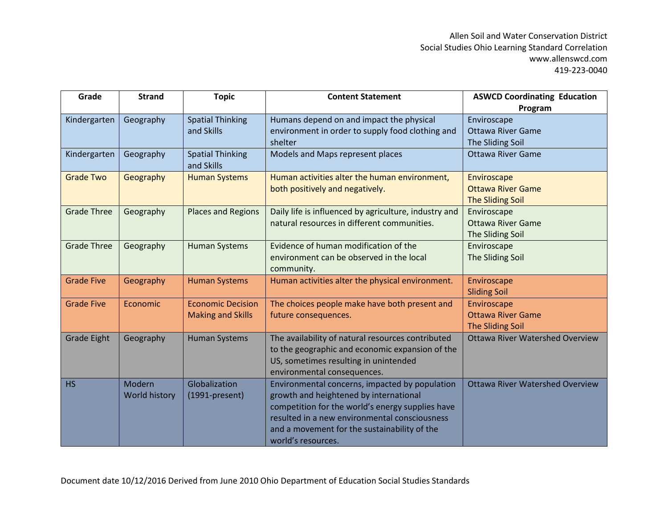| Grade              | <b>Strand</b> | <b>Topic</b>              | <b>Content Statement</b>                              | <b>ASWCD Coordinating Education</b>    |
|--------------------|---------------|---------------------------|-------------------------------------------------------|----------------------------------------|
|                    |               |                           |                                                       | Program                                |
| Kindergarten       | Geography     | <b>Spatial Thinking</b>   | Humans depend on and impact the physical              | Enviroscape                            |
|                    |               | and Skills                | environment in order to supply food clothing and      | <b>Ottawa River Game</b>               |
|                    |               |                           | shelter                                               | The Sliding Soil                       |
| Kindergarten       | Geography     | <b>Spatial Thinking</b>   | Models and Maps represent places                      | <b>Ottawa River Game</b>               |
|                    |               | and Skills                |                                                       |                                        |
| <b>Grade Two</b>   | Geography     | <b>Human Systems</b>      | Human activities alter the human environment,         | Enviroscape                            |
|                    |               |                           | both positively and negatively.                       | <b>Ottawa River Game</b>               |
|                    |               |                           |                                                       | <b>The Sliding Soil</b>                |
| <b>Grade Three</b> | Geography     | <b>Places and Regions</b> | Daily life is influenced by agriculture, industry and | Enviroscape                            |
|                    |               |                           | natural resources in different communities.           | <b>Ottawa River Game</b>               |
|                    |               |                           |                                                       | The Sliding Soil                       |
| <b>Grade Three</b> | Geography     | <b>Human Systems</b>      | Evidence of human modification of the                 | Enviroscape                            |
|                    |               |                           | environment can be observed in the local              | The Sliding Soil                       |
|                    |               |                           | community.                                            |                                        |
| <b>Grade Five</b>  | Geography     | <b>Human Systems</b>      | Human activities alter the physical environment.      | Enviroscape                            |
|                    |               |                           |                                                       | <b>Sliding Soil</b>                    |
| <b>Grade Five</b>  | Economic      | <b>Economic Decision</b>  | The choices people make have both present and         | Enviroscape                            |
|                    |               | <b>Making and Skills</b>  | future consequences.                                  | <b>Ottawa River Game</b>               |
|                    |               |                           |                                                       | <b>The Sliding Soil</b>                |
| <b>Grade Eight</b> | Geography     | <b>Human Systems</b>      | The availability of natural resources contributed     | <b>Ottawa River Watershed Overview</b> |
|                    |               |                           | to the geographic and economic expansion of the       |                                        |
|                    |               |                           | US, sometimes resulting in unintended                 |                                        |
|                    |               |                           | environmental consequences.                           |                                        |
| <b>HS</b>          | Modern        | Globalization             | Environmental concerns, impacted by population        | <b>Ottawa River Watershed Overview</b> |
|                    | World history | $(1991-present)$          | growth and heightened by international                |                                        |
|                    |               |                           | competition for the world's energy supplies have      |                                        |
|                    |               |                           | resulted in a new environmental consciousness         |                                        |
|                    |               |                           | and a movement for the sustainability of the          |                                        |
|                    |               |                           | world's resources.                                    |                                        |